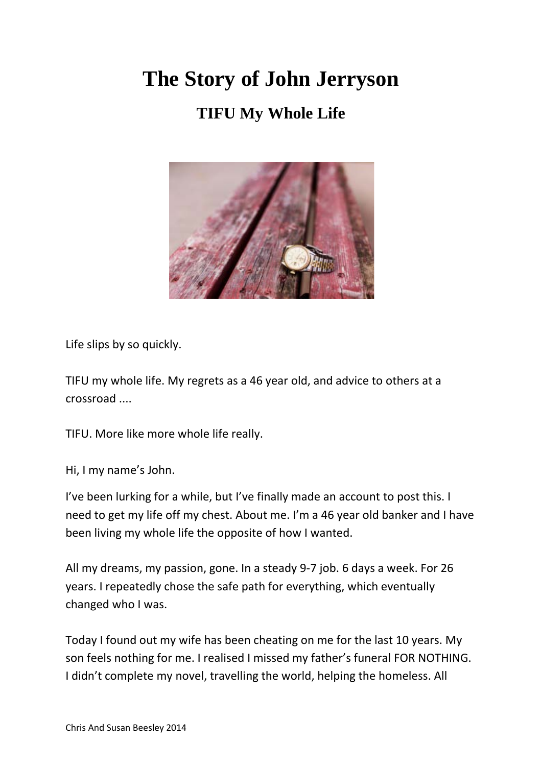## **The Story of John Jerryson**

## **TIFU My Whole Life**



Life slips by so quickly.

TIFU my whole life. My regrets as a 46 year old, and advice to others at a crossroad ....

TIFU. More like more whole life really.

Hi, I my name's John.

I've been lurking for a while, but I've finally made an account to post this. I need to get my life off my chest. About me. I'm a 46 year old banker and I have been living my whole life the opposite of how I wanted.

All my dreams, my passion, gone. In a steady 9-7 job. 6 days a week. For 26 years. I repeatedly chose the safe path for everything, which eventually changed who I was.

Today I found out my wife has been cheating on me for the last 10 years. My son feels nothing for me. I realised I missed my father's funeral FOR NOTHING. I didn't complete my novel, travelling the world, helping the homeless. All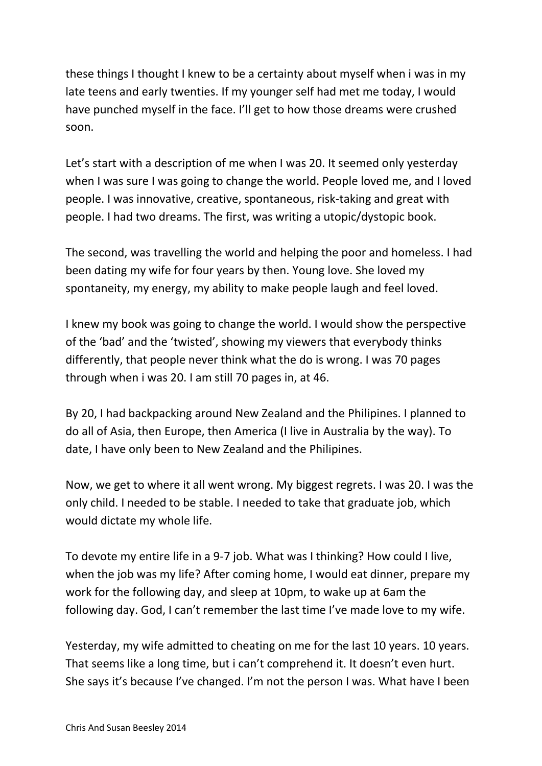these things I thought I knew to be a certainty about myself when i was in my late teens and early twenties. If my younger self had met me today, I would have punched myself in the face. I'll get to how those dreams were crushed soon.

Let's start with a description of me when I was 20. It seemed only yesterday when I was sure I was going to change the world. People loved me, and I loved people. I was innovative, creative, spontaneous, risk-taking and great with people. I had two dreams. The first, was writing a utopic/dystopic book.

The second, was travelling the world and helping the poor and homeless. I had been dating my wife for four years by then. Young love. She loved my spontaneity, my energy, my ability to make people laugh and feel loved.

I knew my book was going to change the world. I would show the perspective of the 'bad' and the 'twisted', showing my viewers that everybody thinks differently, that people never think what the do is wrong. I was 70 pages through when i was 20. I am still 70 pages in, at 46.

By 20, I had backpacking around New Zealand and the Philipines. I planned to do all of Asia, then Europe, then America (I live in Australia by the way). To date, I have only been to New Zealand and the Philipines.

Now, we get to where it all went wrong. My biggest regrets. I was 20. I was the only child. I needed to be stable. I needed to take that graduate job, which would dictate my whole life.

To devote my entire life in a 9-7 job. What was I thinking? How could I live, when the job was my life? After coming home, I would eat dinner, prepare my work for the following day, and sleep at 10pm, to wake up at 6am the following day. God, I can't remember the last time I've made love to my wife.

Yesterday, my wife admitted to cheating on me for the last 10 years. 10 years. That seems like a long time, but i can't comprehend it. It doesn't even hurt. She says it's because I've changed. I'm not the person I was. What have I been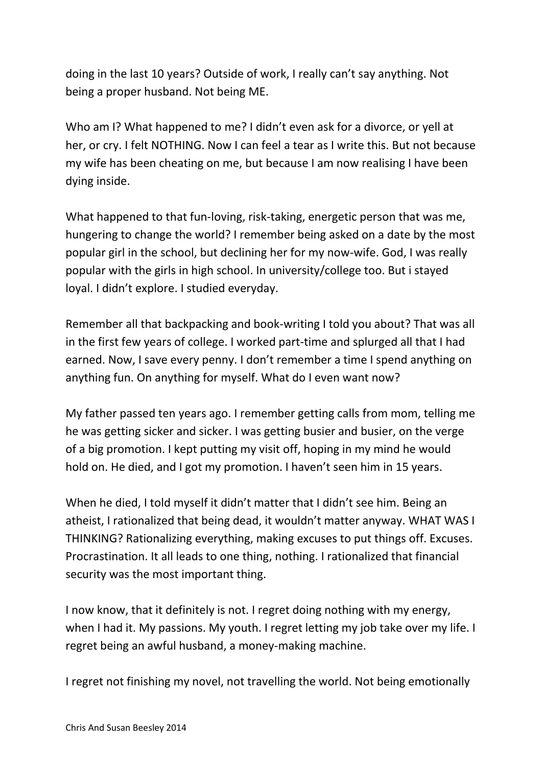doing in the last 10 years? Outside of work, I really can't say anything. Not being a proper husband. Not being ME.

Who am I? What happened to me? I didn't even ask for a divorce, or yell at her, or cry. I felt NOTHING. Now I can feel a tear as I write this. But not because my wife has been cheating on me, but because I am now realising I have been dying inside.

What happened to that fun-loving, risk-taking, energetic person that was me, hungering to change the world? I remember being asked on a date by the most popular girl in the school, but declining her for my now-wife. God, I was really popular with the girls in high school. In university/college too. But i stayed loyal. I didn't explore. I studied everyday.

Remember all that backpacking and book-writing I told you about? That was all in the first few years of college. I worked part-time and splurged all that I had earned. Now, I save every penny. I don't remember a time I spend anything on anything fun. On anything for myself. What do I even want now?

My father passed ten years ago. I remember getting calls from mom, telling me he was getting sicker and sicker. I was getting busier and busier, on the verge of a big promotion. I kept putting my visit off, hoping in my mind he would hold on. He died, and I got my promotion. I haven't seen him in 15 years.

When he died, I told myself it didn't matter that I didn't see him. Being an atheist, I rationalized that being dead, it wouldn't matter anyway. WHAT WAS I THINKING? Rationalizing everything, making excuses to put things off. Excuses. Procrastination. It all leads to one thing, nothing. I rationalized that financial security was the most important thing.

I now know, that it definitely is not. I regret doing nothing with my energy, when I had it. My passions. My youth. I regret letting my job take over my life. I regret being an awful husband, a money-making machine.

I regret not finishing my novel, not travelling the world. Not being emotionally